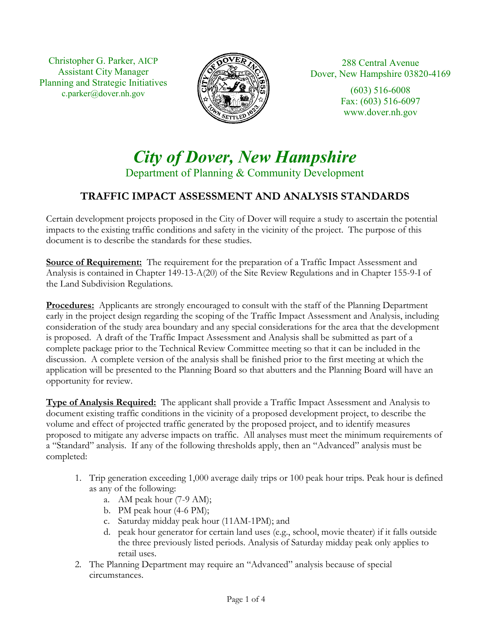Christopher G. Parker, AICP Assistant City Manager Planning and Strategic Initiatives c.parker@dover.nh.gov



288 Central Avenue Dover, New Hampshire 03820-4169

> (603) 516-6008 Fax: (603) 516-6097 www.dover.nh.gov

## *City of Dover, New Hampshire*  Department of Planning & Community Development

## **TRAFFIC IMPACT ASSESSMENT AND ANALYSIS STANDARDS**

Certain development projects proposed in the City of Dover will require a study to ascertain the potential impacts to the existing traffic conditions and safety in the vicinity of the project. The purpose of this document is to describe the standards for these studies.

**Source of Requirement:** The requirement for the preparation of a Traffic Impact Assessment and Analysis is contained in Chapter 149-13-A(20) of the Site Review Regulations and in Chapter 155-9-I of the Land Subdivision Regulations.

**Procedures:** Applicants are strongly encouraged to consult with the staff of the Planning Department early in the project design regarding the scoping of the Traffic Impact Assessment and Analysis, including consideration of the study area boundary and any special considerations for the area that the development is proposed. A draft of the Traffic Impact Assessment and Analysis shall be submitted as part of a complete package prior to the Technical Review Committee meeting so that it can be included in the discussion. A complete version of the analysis shall be finished prior to the first meeting at which the application will be presented to the Planning Board so that abutters and the Planning Board will have an opportunity for review.

**Type of Analysis Required:** The applicant shall provide a Traffic Impact Assessment and Analysis to document existing traffic conditions in the vicinity of a proposed development project, to describe the volume and effect of projected traffic generated by the proposed project, and to identify measures proposed to mitigate any adverse impacts on traffic. All analyses must meet the minimum requirements of a "Standard" analysis. If any of the following thresholds apply, then an "Advanced" analysis must be completed:

- 1. Trip generation exceeding 1,000 average daily trips or 100 peak hour trips. Peak hour is defined as any of the following:
	- a. AM peak hour (7-9 AM);
	- b. PM peak hour (4-6 PM);
	- c. Saturday midday peak hour (11AM-1PM); and
	- d. peak hour generator for certain land uses (e.g., school, movie theater) if it falls outside the three previously listed periods. Analysis of Saturday midday peak only applies to retail uses.
- 2. The Planning Department may require an "Advanced" analysis because of special circumstances.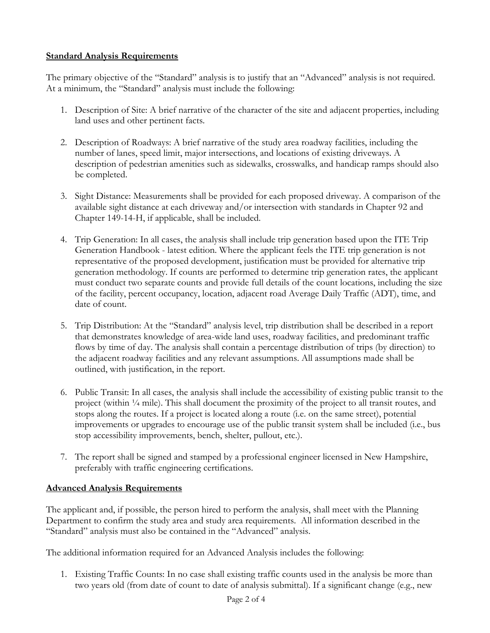## **Standard Analysis Requirements**

The primary objective of the "Standard" analysis is to justify that an "Advanced" analysis is not required. At a minimum, the "Standard" analysis must include the following:

- 1. Description of Site: A brief narrative of the character of the site and adjacent properties, including land uses and other pertinent facts.
- 2. Description of Roadways: A brief narrative of the study area roadway facilities, including the number of lanes, speed limit, major intersections, and locations of existing driveways. A description of pedestrian amenities such as sidewalks, crosswalks, and handicap ramps should also be completed.
- 3. Sight Distance: Measurements shall be provided for each proposed driveway. A comparison of the available sight distance at each driveway and/or intersection with standards in Chapter 92 and Chapter 149-14-H, if applicable, shall be included.
- 4. Trip Generation: In all cases, the analysis shall include trip generation based upon the ITE Trip Generation Handbook - latest edition. Where the applicant feels the ITE trip generation is not representative of the proposed development, justification must be provided for alternative trip generation methodology. If counts are performed to determine trip generation rates, the applicant must conduct two separate counts and provide full details of the count locations, including the size of the facility, percent occupancy, location, adjacent road Average Daily Traffic (ADT), time, and date of count.
- 5. Trip Distribution: At the "Standard" analysis level, trip distribution shall be described in a report that demonstrates knowledge of area-wide land uses, roadway facilities, and predominant traffic flows by time of day. The analysis shall contain a percentage distribution of trips (by direction) to the adjacent roadway facilities and any relevant assumptions. All assumptions made shall be outlined, with justification, in the report.
- 6. Public Transit: In all cases, the analysis shall include the accessibility of existing public transit to the project (within ¼ mile). This shall document the proximity of the project to all transit routes, and stops along the routes. If a project is located along a route (i.e. on the same street), potential improvements or upgrades to encourage use of the public transit system shall be included (i.e., bus stop accessibility improvements, bench, shelter, pullout, etc.).
- 7. The report shall be signed and stamped by a professional engineer licensed in New Hampshire, preferably with traffic engineering certifications.

## **Advanced Analysis Requirements**

The applicant and, if possible, the person hired to perform the analysis, shall meet with the Planning Department to confirm the study area and study area requirements. All information described in the "Standard" analysis must also be contained in the "Advanced" analysis.

The additional information required for an Advanced Analysis includes the following:

1. Existing Traffic Counts: In no case shall existing traffic counts used in the analysis be more than two years old (from date of count to date of analysis submittal). If a significant change (e.g., new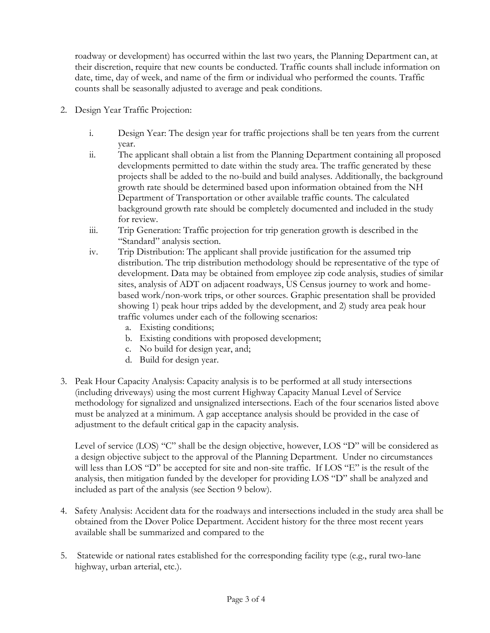roadway or development) has occurred within the last two years, the Planning Department can, at their discretion, require that new counts be conducted. Traffic counts shall include information on date, time, day of week, and name of the firm or individual who performed the counts. Traffic counts shall be seasonally adjusted to average and peak conditions.

- 2. Design Year Traffic Projection:
	- i. Design Year: The design year for traffic projections shall be ten years from the current year.
	- ii. The applicant shall obtain a list from the Planning Department containing all proposed developments permitted to date within the study area. The traffic generated by these projects shall be added to the no-build and build analyses. Additionally, the background growth rate should be determined based upon information obtained from the NH Department of Transportation or other available traffic counts. The calculated background growth rate should be completely documented and included in the study for review.
	- iii. Trip Generation: Traffic projection for trip generation growth is described in the "Standard" analysis section.
	- iv. Trip Distribution: The applicant shall provide justification for the assumed trip distribution. The trip distribution methodology should be representative of the type of development. Data may be obtained from employee zip code analysis, studies of similar sites, analysis of ADT on adjacent roadways, US Census journey to work and homebased work/non-work trips, or other sources. Graphic presentation shall be provided showing 1) peak hour trips added by the development, and 2) study area peak hour traffic volumes under each of the following scenarios:
		- a. Existing conditions;
		- b. Existing conditions with proposed development;
		- c. No build for design year, and;
		- d. Build for design year.
- 3. Peak Hour Capacity Analysis: Capacity analysis is to be performed at all study intersections (including driveways) using the most current Highway Capacity Manual Level of Service methodology for signalized and unsignalized intersections. Each of the four scenarios listed above must be analyzed at a minimum. A gap acceptance analysis should be provided in the case of adjustment to the default critical gap in the capacity analysis.

Level of service (LOS) "C" shall be the design objective, however, LOS "D" will be considered as a design objective subject to the approval of the Planning Department. Under no circumstances will less than LOS "D" be accepted for site and non-site traffic. If LOS "E" is the result of the analysis, then mitigation funded by the developer for providing LOS "D" shall be analyzed and included as part of the analysis (see Section 9 below).

- 4. Safety Analysis: Accident data for the roadways and intersections included in the study area shall be obtained from the Dover Police Department. Accident history for the three most recent years available shall be summarized and compared to the
- 5. Statewide or national rates established for the corresponding facility type (e.g., rural two-lane highway, urban arterial, etc.).